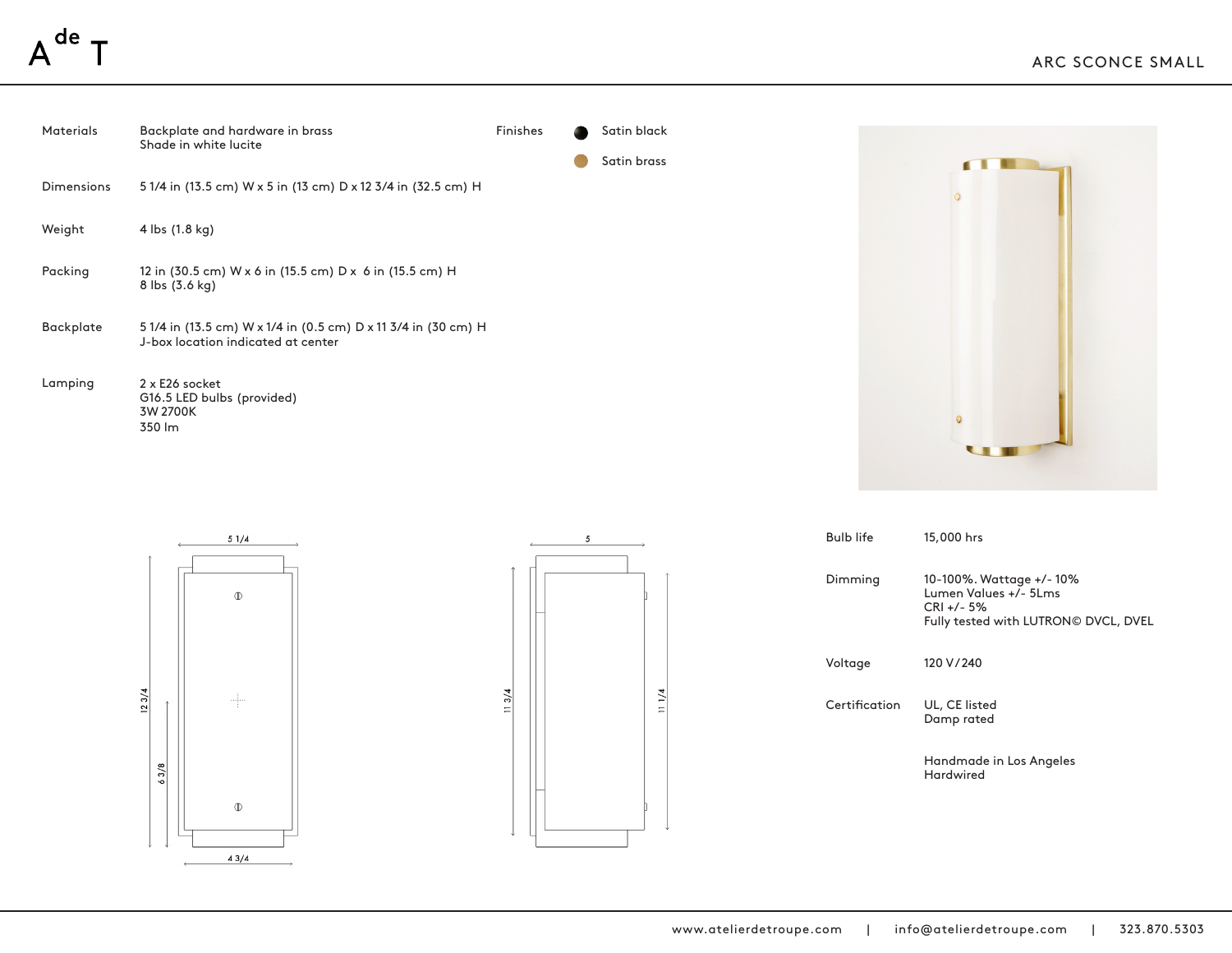







| <b>Bulb life</b> | 15,000 hrs                                                                                                 |
|------------------|------------------------------------------------------------------------------------------------------------|
| Dimming          | 10-100%. Wattage +/-10%<br>Lumen Values +/- 5Lms<br>$CRI + 7 - 5%$<br>Fully tested with LUTRON© DVCL, DVEL |
| Voltage          | 120 V/240                                                                                                  |
| Certification    | UL, CE listed<br>Damp rated                                                                                |
|                  | Handmade in Los Angeles<br><b>Hardwired</b>                                                                |
|                  |                                                                                                            |